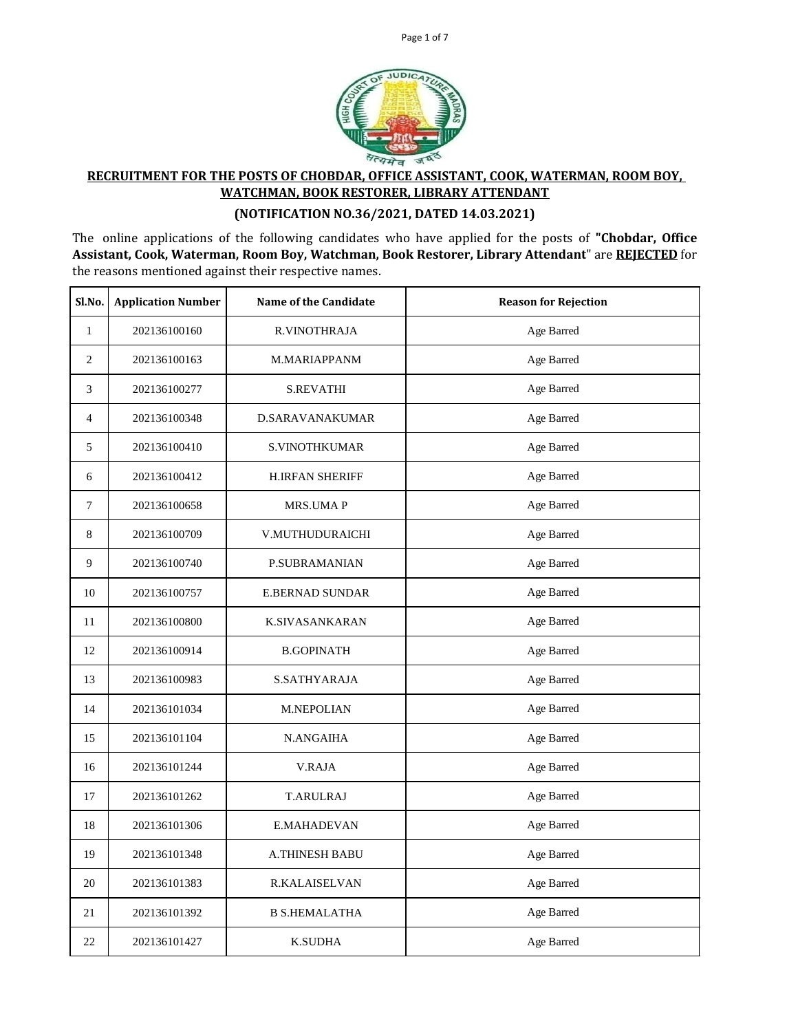



## **RECRUITMENT FOR THE POSTS OF CHOBDAR, OFFICE ASSISTANT, COOK, WATERMAN, ROOM BOY, WATCHMAN, BOOK RESTORER, LIBRARY ATTENDANT**

## **(NOTIFICATION NO.36/2021, DATED 14.03.2021)**

The online applications of the following candidates who have applied for the posts of **"Chobdar, Office Assistant, Cook, Waterman, Room Boy, Watchman, Book Restorer, Library Attendant**" are **REJECTED** for the reasons mentioned against their respective names.

| Sl.No.           | <b>Application Number</b> | <b>Name of the Candidate</b> | <b>Reason for Rejection</b> |
|------------------|---------------------------|------------------------------|-----------------------------|
| $\mathbf{1}$     | 202136100160              | R.VINOTHRAJA                 | Age Barred                  |
| $\boldsymbol{2}$ | 202136100163              | M.MARIAPPANM                 | Age Barred                  |
| 3                | 202136100277              | <b>S.REVATHI</b>             | Age Barred                  |
| $\overline{4}$   | 202136100348              | <b>D.SARAVANAKUMAR</b>       | Age Barred                  |
| 5                | 202136100410              | <b>S.VINOTHKUMAR</b>         | Age Barred                  |
| 6                | 202136100412              | <b>H.IRFAN SHERIFF</b>       | Age Barred                  |
| $\overline{7}$   | 202136100658              | <b>MRS.UMAP</b>              | Age Barred                  |
| 8                | 202136100709              | V.MUTHUDURAICHI              | Age Barred                  |
| 9                | 202136100740              | P.SUBRAMANIAN                | Age Barred                  |
| 10               | 202136100757              | <b>E.BERNAD SUNDAR</b>       | Age Barred                  |
| 11               | 202136100800              | <b>K.SIVASANKARAN</b>        | Age Barred                  |
| 12               | 202136100914              | <b>B.GOPINATH</b>            | Age Barred                  |
| 13               | 202136100983              | <b>S.SATHYARAJA</b>          | Age Barred                  |
| 14               | 202136101034              | M.NEPOLIAN                   | Age Barred                  |
| 15               | 202136101104              | N.ANGAIHA                    | Age Barred                  |
| 16               | 202136101244              | <b>V.RAJA</b>                | Age Barred                  |
| 17               | 202136101262              | <b>T.ARULRAJ</b>             | Age Barred                  |
| 18               | 202136101306              | E.MAHADEVAN                  | Age Barred                  |
| 19               | 202136101348              | <b>A.THINESH BABU</b>        | Age Barred                  |
| 20               | 202136101383              | <b>R.KALAISELVAN</b>         | Age Barred                  |
| 21               | 202136101392              | <b>B S.HEMALATHA</b>         | Age Barred                  |
| 22               | 202136101427              | <b>K.SUDHA</b>               | Age Barred                  |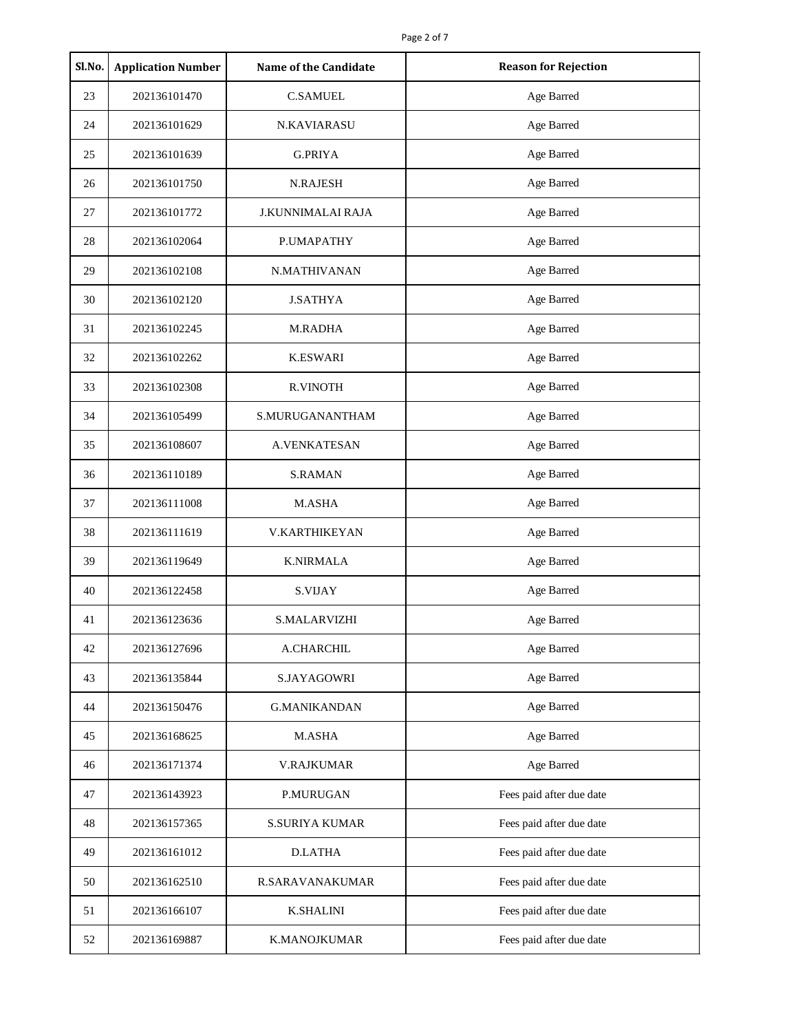| Sl.No. | <b>Application Number</b> | <b>Name of the Candidate</b> | <b>Reason for Rejection</b> |
|--------|---------------------------|------------------------------|-----------------------------|
| 23     | 202136101470              | <b>C.SAMUEL</b>              | Age Barred                  |
| 24     | 202136101629              | <b>N.KAVIARASU</b>           | Age Barred                  |
| 25     | 202136101639              | <b>G.PRIYA</b>               | Age Barred                  |
| 26     | 202136101750              | <b>N.RAJESH</b>              | Age Barred                  |
| 27     | 202136101772              | <b>J.KUNNIMALAI RAJA</b>     | Age Barred                  |
| 28     | 202136102064              | P.UMAPATHY                   | Age Barred                  |
| 29     | 202136102108              | N.MATHIVANAN                 | Age Barred                  |
| 30     | 202136102120              | <b>J.SATHYA</b>              | Age Barred                  |
| 31     | 202136102245              | <b>M.RADHA</b>               | Age Barred                  |
| 32     | 202136102262              | <b>K.ESWARI</b>              | Age Barred                  |
| 33     | 202136102308              | <b>R.VINOTH</b>              | Age Barred                  |
| 34     | 202136105499              | S.MURUGANANTHAM              | Age Barred                  |
| 35     | 202136108607              | <b>A.VENKATESAN</b>          | Age Barred                  |
| 36     | 202136110189              | <b>S.RAMAN</b>               | Age Barred                  |
| 37     | 202136111008              | M.ASHA                       | Age Barred                  |
| 38     | 202136111619              | <b>V.KARTHIKEYAN</b>         | Age Barred                  |
| 39     | 202136119649              | <b>K.NIRMALA</b>             | Age Barred                  |
| 40     | 202136122458              | <b>S.VIJAY</b>               | Age Barred                  |
| 41     | 202136123636              | <b>S.MALARVIZHI</b>          | Age Barred                  |
| 42     | 202136127696              | A.CHARCHIL                   | Age Barred                  |
| 43     | 202136135844              | S.JAYAGOWRI                  | Age Barred                  |
| 44     | 202136150476              | <b>G.MANIKANDAN</b>          | Age Barred                  |
| 45     | 202136168625              | M.ASHA                       | Age Barred                  |
| 46     | 202136171374              | <b>V.RAJKUMAR</b>            | Age Barred                  |
| 47     | 202136143923              | P.MURUGAN                    | Fees paid after due date    |
| 48     | 202136157365              | <b>S.SURIYA KUMAR</b>        | Fees paid after due date    |
| 49     | 202136161012              | <b>D.LATHA</b>               | Fees paid after due date    |
| 50     | 202136162510              | R.SARAVANAKUMAR              | Fees paid after due date    |
| 51     | 202136166107              | <b>K.SHALINI</b>             | Fees paid after due date    |
| 52     | 202136169887              | <b>K.MANOJKUMAR</b>          | Fees paid after due date    |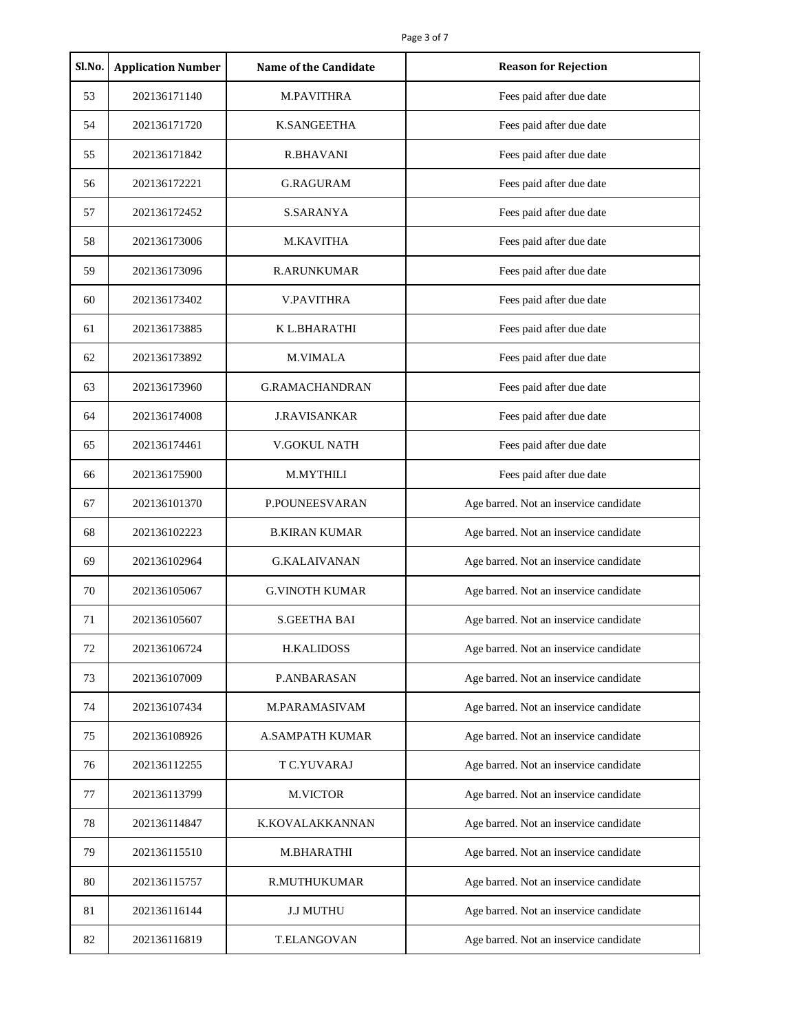| Sl.No. | <b>Application Number</b> | <b>Name of the Candidate</b> | <b>Reason for Rejection</b>            |
|--------|---------------------------|------------------------------|----------------------------------------|
| 53     | 202136171140              | M.PAVITHRA                   | Fees paid after due date               |
| 54     | 202136171720              | <b>K.SANGEETHA</b>           | Fees paid after due date               |
| 55     | 202136171842              | R.BHAVANI                    | Fees paid after due date               |
| 56     | 202136172221              | <b>G.RAGURAM</b>             | Fees paid after due date               |
| 57     | 202136172452              | <b>S.SARANYA</b>             | Fees paid after due date               |
| 58     | 202136173006              | <b>M.KAVITHA</b>             | Fees paid after due date               |
| 59     | 202136173096              | <b>R.ARUNKUMAR</b>           | Fees paid after due date               |
| 60     | 202136173402              | <b>V.PAVITHRA</b>            | Fees paid after due date               |
| 61     | 202136173885              | K L.BHARATHI                 | Fees paid after due date               |
| 62     | 202136173892              | <b>M.VIMALA</b>              | Fees paid after due date               |
| 63     | 202136173960              | <b>G.RAMACHANDRAN</b>        | Fees paid after due date               |
| 64     | 202136174008              | <b>J.RAVISANKAR</b>          | Fees paid after due date               |
| 65     | 202136174461              | V.GOKUL NATH                 | Fees paid after due date               |
| 66     | 202136175900              | M.MYTHILI                    | Fees paid after due date               |
| 67     | 202136101370              | P.POUNEESVARAN               | Age barred. Not an inservice candidate |
| 68     | 202136102223              | <b>B.KIRAN KUMAR</b>         | Age barred. Not an inservice candidate |
| 69     | 202136102964              | <b>G.KALAIVANAN</b>          | Age barred. Not an inservice candidate |
| 70     | 202136105067              | <b>G.VINOTH KUMAR</b>        | Age barred. Not an inservice candidate |
| 71     | 202136105607              | <b>S.GEETHA BAI</b>          | Age barred. Not an inservice candidate |
| 72     | 202136106724              | <b>H.KALIDOSS</b>            | Age barred. Not an inservice candidate |
| 73     | 202136107009              | P.ANBARASAN                  | Age barred. Not an inservice candidate |
| 74     | 202136107434              | M.PARAMASIVAM                | Age barred. Not an inservice candidate |
| 75     | 202136108926              | <b>A.SAMPATH KUMAR</b>       | Age barred. Not an inservice candidate |
| 76     | 202136112255              | T C.YUVARAJ                  | Age barred. Not an inservice candidate |
| 77     | 202136113799              | M.VICTOR                     | Age barred. Not an inservice candidate |
| 78     | 202136114847              | K.KOVALAKKANNAN              | Age barred. Not an inservice candidate |
| 79     | 202136115510              | M.BHARATHI                   | Age barred. Not an inservice candidate |
| 80     | 202136115757              | R.MUTHUKUMAR                 | Age barred. Not an inservice candidate |
| 81     | 202136116144              | <b>J.J MUTHU</b>             | Age barred. Not an inservice candidate |
| 82     | 202136116819              | T.ELANGOVAN                  | Age barred. Not an inservice candidate |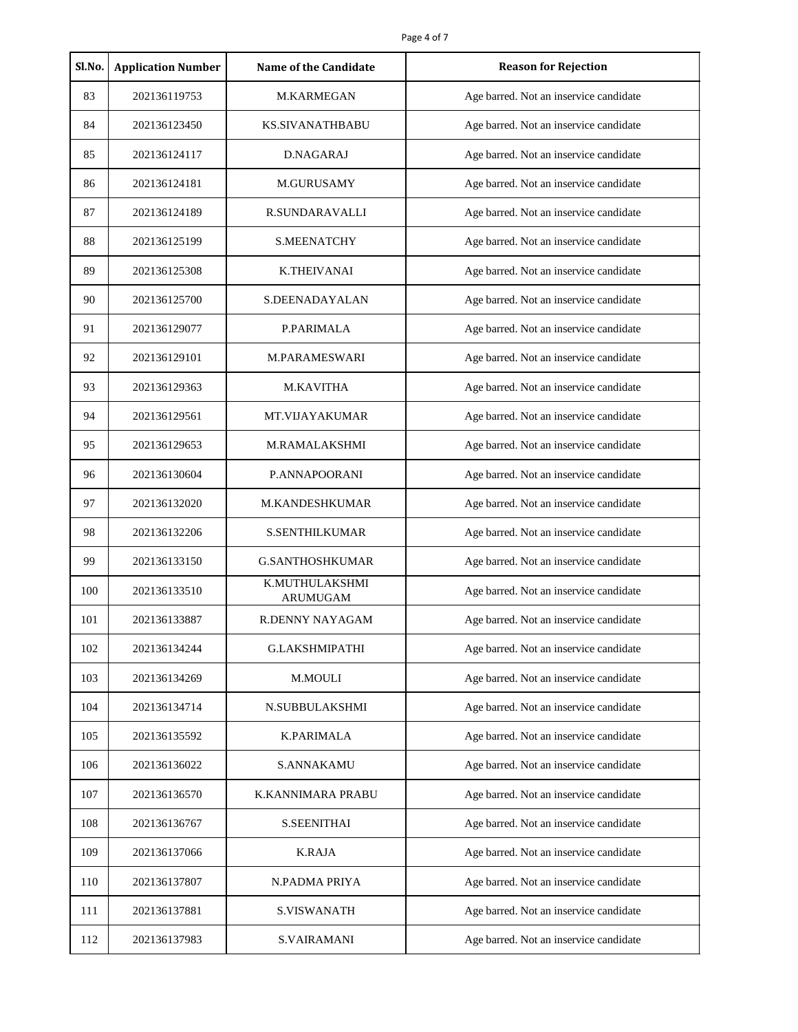| Sl.No. | <b>Application Number</b> | <b>Name of the Candidate</b> | <b>Reason for Rejection</b>            |
|--------|---------------------------|------------------------------|----------------------------------------|
| 83     | 202136119753              | M.KARMEGAN                   | Age barred. Not an inservice candidate |
| 84     | 202136123450              | <b>KS.SIVANATHBABU</b>       | Age barred. Not an inservice candidate |
| 85     | 202136124117              | D.NAGARAJ                    | Age barred. Not an inservice candidate |
| 86     | 202136124181              | M.GURUSAMY                   | Age barred. Not an inservice candidate |
| 87     | 202136124189              | <b>R.SUNDARAVALLI</b>        | Age barred. Not an inservice candidate |
| 88     | 202136125199              | <b>S.MEENATCHY</b>           | Age barred. Not an inservice candidate |
| 89     | 202136125308              | <b>K.THEIVANAI</b>           | Age barred. Not an inservice candidate |
| 90     | 202136125700              | S.DEENADAYALAN               | Age barred. Not an inservice candidate |
| 91     | 202136129077              | P.PARIMALA                   | Age barred. Not an inservice candidate |
| 92     | 202136129101              | <b>M.PARAMESWARI</b>         | Age barred. Not an inservice candidate |
| 93     | 202136129363              | <b>M.KAVITHA</b>             | Age barred. Not an inservice candidate |
| 94     | 202136129561              | MT.VIJAYAKUMAR               | Age barred. Not an inservice candidate |
| 95     | 202136129653              | M.RAMALAKSHMI                | Age barred. Not an inservice candidate |
| 96     | 202136130604              | P.ANNAPOORANI                | Age barred. Not an inservice candidate |
| 97     | 202136132020              | M.KANDESHKUMAR               | Age barred. Not an inservice candidate |
| 98     | 202136132206              | <b>S.SENTHILKUMAR</b>        | Age barred. Not an inservice candidate |
| 99     | 202136133150              | <b>G.SANTHOSHKUMAR</b>       | Age barred. Not an inservice candidate |
| 100    | 202136133510              | K.MUTHULAKSHMI<br>ARUMUGAM   | Age barred. Not an inservice candidate |
| 101    | 202136133887              | <b>R.DENNY NAYAGAM</b>       | Age barred. Not an inservice candidate |
| 102    | 202136134244              | <b>G.LAKSHMIPATHI</b>        | Age barred. Not an inservice candidate |
| 103    | 202136134269              | M.MOULI                      | Age barred. Not an inservice candidate |
| 104    | 202136134714              | N.SUBBULAKSHMI               | Age barred. Not an inservice candidate |
| 105    | 202136135592              | <b>K.PARIMALA</b>            | Age barred. Not an inservice candidate |
| 106    | 202136136022              | <b>S.ANNAKAMU</b>            | Age barred. Not an inservice candidate |
| 107    | 202136136570              | K.KANNIMARA PRABU            | Age barred. Not an inservice candidate |
| 108    | 202136136767              | <b>S.SEENITHAI</b>           | Age barred. Not an inservice candidate |
| 109    | 202136137066              | <b>K.RAJA</b>                | Age barred. Not an inservice candidate |
| 110    | 202136137807              | N.PADMA PRIYA                | Age barred. Not an inservice candidate |
| 111    | 202136137881              | <b>S.VISWANATH</b>           | Age barred. Not an inservice candidate |
| 112    | 202136137983              | <b>S.VAIRAMANI</b>           | Age barred. Not an inservice candidate |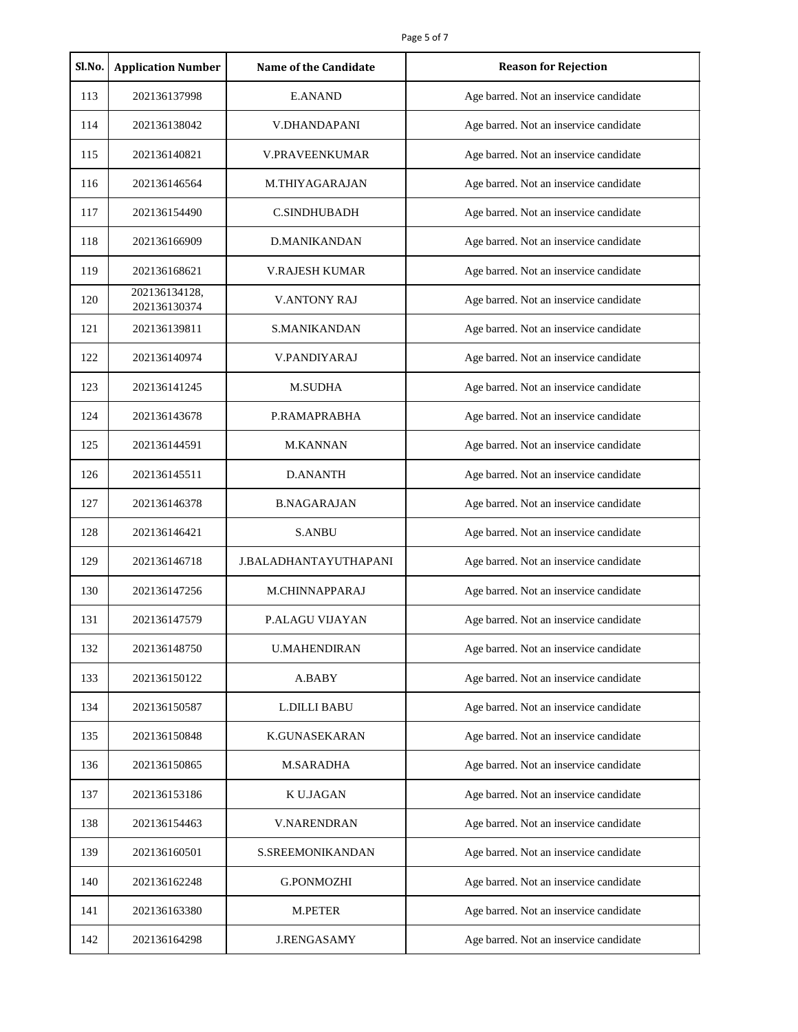| Sl.No. | <b>Application Number</b>     | <b>Name of the Candidate</b> | <b>Reason for Rejection</b>            |
|--------|-------------------------------|------------------------------|----------------------------------------|
| 113    | 202136137998                  | <b>E.ANAND</b>               | Age barred. Not an inservice candidate |
| 114    | 202136138042                  | V.DHANDAPANI                 | Age barred. Not an inservice candidate |
| 115    | 202136140821                  | <b>V.PRAVEENKUMAR</b>        | Age barred. Not an inservice candidate |
| 116    | 202136146564                  | M.THIYAGARAJAN               | Age barred. Not an inservice candidate |
| 117    | 202136154490                  | <b>C.SINDHUBADH</b>          | Age barred. Not an inservice candidate |
| 118    | 202136166909                  | <b>D.MANIKANDAN</b>          | Age barred. Not an inservice candidate |
| 119    | 202136168621                  | <b>V.RAJESH KUMAR</b>        | Age barred. Not an inservice candidate |
| 120    | 202136134128,<br>202136130374 | <b>V.ANTONY RAJ</b>          | Age barred. Not an inservice candidate |
| 121    | 202136139811                  | <b>S.MANIKANDAN</b>          | Age barred. Not an inservice candidate |
| 122    | 202136140974                  | <b>V.PANDIYARAJ</b>          | Age barred. Not an inservice candidate |
| 123    | 202136141245                  | <b>M.SUDHA</b>               | Age barred. Not an inservice candidate |
| 124    | 202136143678                  | P.RAMAPRABHA                 | Age barred. Not an inservice candidate |
| 125    | 202136144591                  | <b>M.KANNAN</b>              | Age barred. Not an inservice candidate |
| 126    | 202136145511                  | <b>D.ANANTH</b>              | Age barred. Not an inservice candidate |
| 127    | 202136146378                  | <b>B.NAGARAJAN</b>           | Age barred. Not an inservice candidate |
| 128    | 202136146421                  | <b>S.ANBU</b>                | Age barred. Not an inservice candidate |
| 129    | 202136146718                  | J.BALADHANTAYUTHAPANI        | Age barred. Not an inservice candidate |
| 130    | 202136147256                  | M.CHINNAPPARAJ               | Age barred. Not an inservice candidate |
| 131    | 202136147579                  | <b>P.ALAGU VIJAYAN</b>       | Age barred. Not an inservice candidate |
| 132    | 202136148750                  | <b>U.MAHENDIRAN</b>          | Age barred. Not an inservice candidate |
| 133    | 202136150122                  | A.BABY                       | Age barred. Not an inservice candidate |
| 134    | 202136150587                  | <b>L.DILLI BABU</b>          | Age barred. Not an inservice candidate |
| 135    | 202136150848                  | <b>K.GUNASEKARAN</b>         | Age barred. Not an inservice candidate |
| 136    | 202136150865                  | <b>M.SARADHA</b>             | Age barred. Not an inservice candidate |
| 137    | 202136153186                  | K U.JAGAN                    | Age barred. Not an inservice candidate |
| 138    | 202136154463                  | <b>V.NARENDRAN</b>           | Age barred. Not an inservice candidate |
| 139    | 202136160501                  | S.SREEMONIKANDAN             | Age barred. Not an inservice candidate |
| 140    | 202136162248                  | G.PONMOZHI                   | Age barred. Not an inservice candidate |
| 141    | 202136163380                  | M.PETER                      | Age barred. Not an inservice candidate |
| 142    | 202136164298                  | <b>J.RENGASAMY</b>           | Age barred. Not an inservice candidate |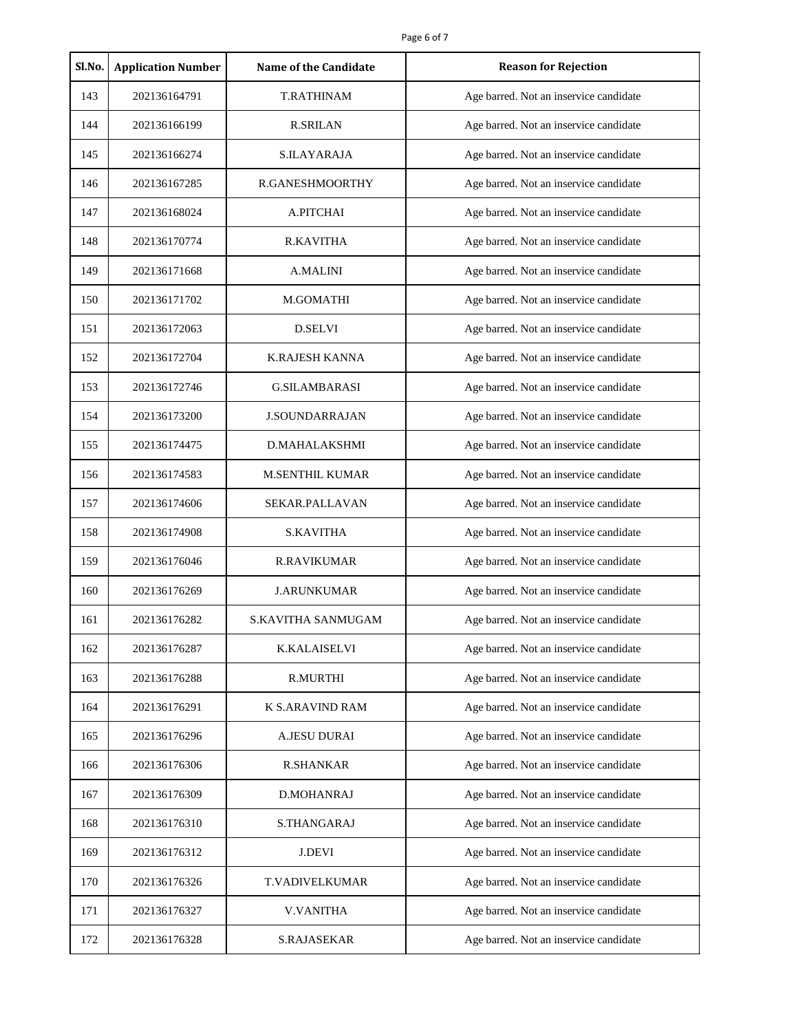| Sl.No. | <b>Application Number</b> | <b>Name of the Candidate</b> | <b>Reason for Rejection</b>            |
|--------|---------------------------|------------------------------|----------------------------------------|
| 143    | 202136164791              | <b>T.RATHINAM</b>            | Age barred. Not an inservice candidate |
| 144    | 202136166199              | <b>R.SRILAN</b>              | Age barred. Not an inservice candidate |
| 145    | 202136166274              | S.ILAYARAJA                  | Age barred. Not an inservice candidate |
| 146    | 202136167285              | R.GANESHMOORTHY              | Age barred. Not an inservice candidate |
| 147    | 202136168024              | A.PITCHAI                    | Age barred. Not an inservice candidate |
| 148    | 202136170774              | <b>R.KAVITHA</b>             | Age barred. Not an inservice candidate |
| 149    | 202136171668              | <b>A.MALINI</b>              | Age barred. Not an inservice candidate |
| 150    | 202136171702              | M.GOMATHI                    | Age barred. Not an inservice candidate |
| 151    | 202136172063              | <b>D.SELVI</b>               | Age barred. Not an inservice candidate |
| 152    | 202136172704              | <b>K.RAJESH KANNA</b>        | Age barred. Not an inservice candidate |
| 153    | 202136172746              | <b>G.SILAMBARASI</b>         | Age barred. Not an inservice candidate |
| 154    | 202136173200              | <b>J.SOUNDARRAJAN</b>        | Age barred. Not an inservice candidate |
| 155    | 202136174475              | D.MAHALAKSHMI                | Age barred. Not an inservice candidate |
| 156    | 202136174583              | <b>M.SENTHIL KUMAR</b>       | Age barred. Not an inservice candidate |
| 157    | 202136174606              | SEKAR.PALLAVAN               | Age barred. Not an inservice candidate |
| 158    | 202136174908              | <b>S.KAVITHA</b>             | Age barred. Not an inservice candidate |
| 159    | 202136176046              | <b>R.RAVIKUMAR</b>           | Age barred. Not an inservice candidate |
| 160    | 202136176269              | <b>J.ARUNKUMAR</b>           | Age barred. Not an inservice candidate |
| 161    | 202136176282              | <b>S.KAVITHA SANMUGAM</b>    | Age barred. Not an inservice candidate |
| 162    | 202136176287              | <b>K.KALAISELVI</b>          | Age barred. Not an inservice candidate |
| 163    | 202136176288              | <b>R.MURTHI</b>              | Age barred. Not an inservice candidate |
| 164    | 202136176291              | <b>K S.ARAVIND RAM</b>       | Age barred. Not an inservice candidate |
| 165    | 202136176296              | <b>A.JESU DURAI</b>          | Age barred. Not an inservice candidate |
| 166    | 202136176306              | <b>R.SHANKAR</b>             | Age barred. Not an inservice candidate |
| 167    | 202136176309              | D.MOHANRAJ                   | Age barred. Not an inservice candidate |
| 168    | 202136176310              | S.THANGARAJ                  | Age barred. Not an inservice candidate |
| 169    | 202136176312              | <b>J.DEVI</b>                | Age barred. Not an inservice candidate |
| 170    | 202136176326              | T.VADIVELKUMAR               | Age barred. Not an inservice candidate |
| 171    | 202136176327              | <b>V.VANITHA</b>             | Age barred. Not an inservice candidate |
| 172    | 202136176328              | <b>S.RAJASEKAR</b>           | Age barred. Not an inservice candidate |